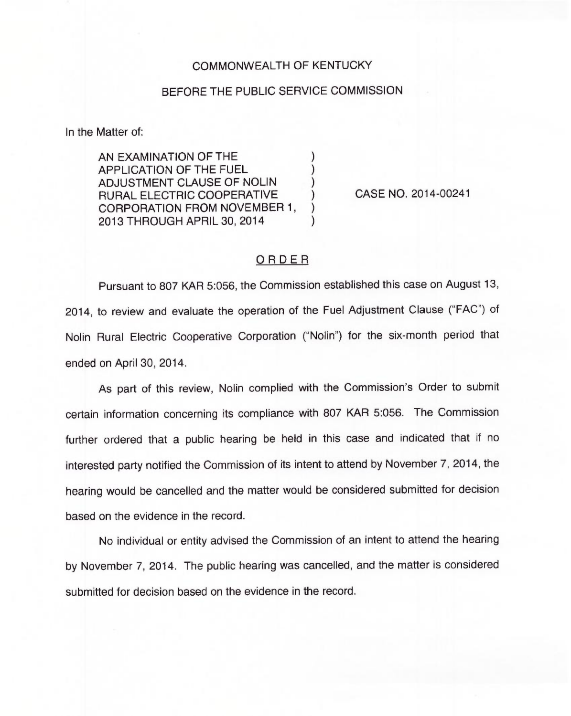## COMMONWEALTH OF KENTUCKY

## BEFORE THE PUBLIC SERVICE COMMISSION

In the Matter of:

AN EXAMINATION OF THE APPLICATION OF THE FUEL ) ADJUSTMENT CLAUSE OF NOLIN ) RURAL ELECTRIC COOPERATIVE ) CORPORATION FROM NOVEMBER 1, ) 2013 THROUGH APRIL 30, 2014 )

CASE NO. 2014-00241

## ORDER

Pursuant to 807 KAR 5:056, the Commission established this case on August 13, 2014, to review and evaluate the operation of the Fuel Adjustment Clause ("FAC") of Nolin Rural Electric Cooperative Corporation ("Nolin") for the six-month period that ended on April 30, 2014.

As part of this review, Nolin complied with the Commission's Order to submit certain information concerning its compliance with 807 KAR 5:056. The Commission further ordered that a public hearing be held in this case and indicated that if no interested party notified the Commission of its intent to attend by November 7, 2014, the hearing would be cancelled and the matter would be considered submitted for decision based on the evidence in the record.

No individual or entity advised the Commission of an intent to attend the hearing by November 7, 2014. The public hearing was cancelled, and the matter is considered submitted for decision based on the evidence in the record.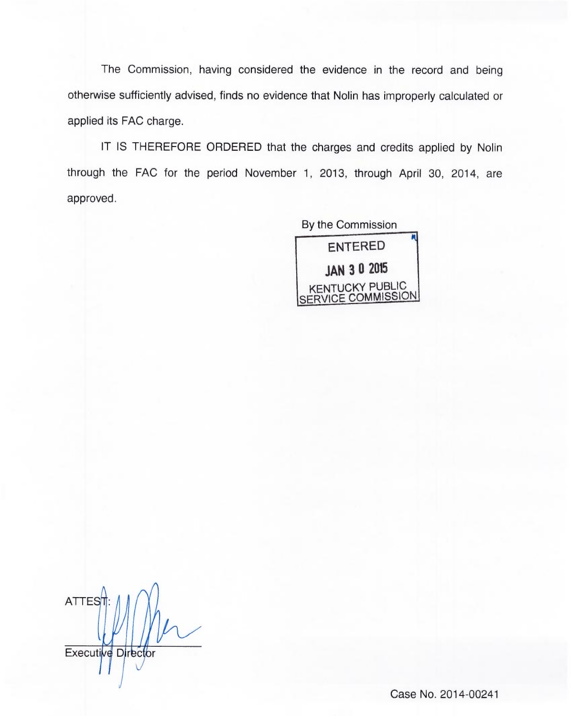The Commission, having considered the evidence in the record and being otherwise sufficiently advised, finds no evidence that Nolin has improperly calculated or applied its FAC charge.

IT IS THEREFORE ORDERED that the charges and credits applied by Nolin through the FAC for the period November 1, 2013, through April 30, 2014, are approved.

> By the Commission ENTERED JAN 3 0 2015 KENTUCKY PUBLIC SERVICE COMMISSION

ATTES<sup>+</sup> Executive Director

Case No. 2014-00241